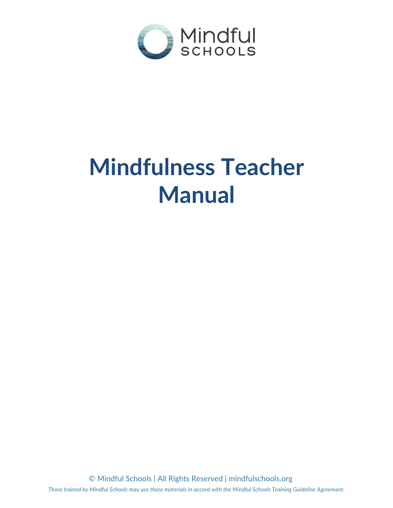

# **Mindfulness Teacher Manual**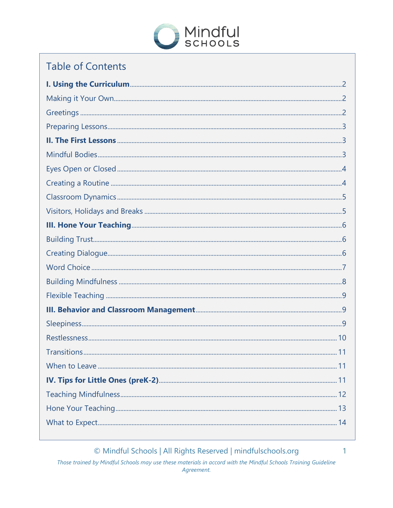

# **Table of Contents**

© Mindful Schools | All Rights Reserved | mindfulschools.org

Those trained by Mindful Schools may use these materials in accord with the Mindful Schools Training Guideline Agreement.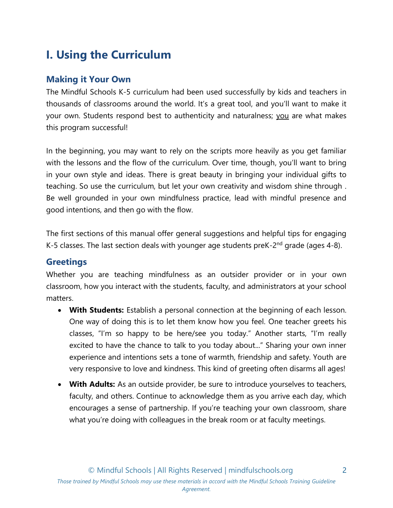# <span id="page-2-0"></span>**I. Using the Curriculum**

# <span id="page-2-1"></span>**Making it Your Own**

The Mindful Schools K-5 curriculum had been used successfully by kids and teachers in thousands of classrooms around the world. It's a great tool, and you'll want to make it your own. Students respond best to authenticity and naturalness; you are what makes this program successful!

In the beginning, you may want to rely on the scripts more heavily as you get familiar with the lessons and the flow of the curriculum. Over time, though, you'll want to bring in your own style and ideas. There is great beauty in bringing your individual gifts to teaching. So use the curriculum, but let your own creativity and wisdom shine through . Be well grounded in your own mindfulness practice, lead with mindful presence and good intentions, and then go with the flow.

The first sections of this manual offer general suggestions and helpful tips for engaging K-5 classes. The last section deals with younger age students preK- $2<sup>nd</sup>$  grade (ages 4-8).

# <span id="page-2-2"></span>**Greetings**

Whether you are teaching mindfulness as an outsider provider or in your own classroom, how you interact with the students, faculty, and administrators at your school matters.

- **With Students:** Establish a personal connection at the beginning of each lesson. One way of doing this is to let them know how you feel. One teacher greets his classes, "I'm so happy to be here/see you today." Another starts, "I'm really excited to have the chance to talk to you today about..." Sharing your own inner experience and intentions sets a tone of warmth, friendship and safety. Youth are very responsive to love and kindness. This kind of greeting often disarms all ages!
- **With Adults:** As an outside provider, be sure to introduce yourselves to teachers, faculty, and others. Continue to acknowledge them as you arrive each day, which encourages a sense of partnership. If you're teaching your own classroom, share what you're doing with colleagues in the break room or at faculty meetings.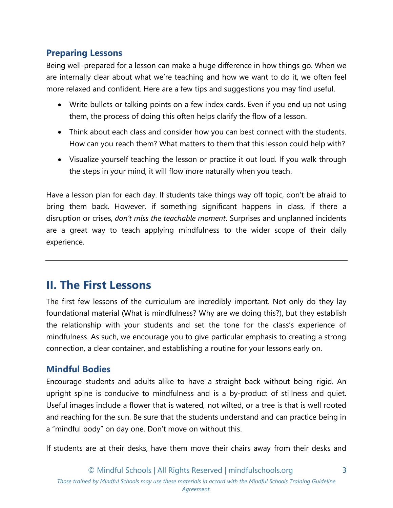# <span id="page-3-0"></span>**Preparing Lessons**

Being well-prepared for a lesson can make a huge difference in how things go. When we are internally clear about what we're teaching and how we want to do it, we often feel more relaxed and confident. Here are a few tips and suggestions you may find useful.

- Write bullets or talking points on a few index cards. Even if you end up not using them, the process of doing this often helps clarify the flow of a lesson.
- Think about each class and consider how you can best connect with the students. How can you reach them? What matters to them that this lesson could help with?
- Visualize yourself teaching the lesson or practice it out loud. If you walk through the steps in your mind, it will flow more naturally when you teach.

Have a lesson plan for each day. If students take things way off topic, don't be afraid to bring them back. However, if something significant happens in class, if there a disruption or crises, *don't miss the teachable moment*. Surprises and unplanned incidents are a great way to teach applying mindfulness to the wider scope of their daily experience.

# <span id="page-3-1"></span>**II. The First Lessons**

The first few lessons of the curriculum are incredibly important. Not only do they lay foundational material (What is mindfulness? Why are we doing this?), but they establish the relationship with your students and set the tone for the class's experience of mindfulness. As such, we encourage you to give particular emphasis to creating a strong connection, a clear container, and establishing a routine for your lessons early on.

# <span id="page-3-2"></span>**Mindful Bodies**

Encourage students and adults alike to have a straight back without being rigid. An upright spine is conducive to mindfulness and is a by-product of stillness and quiet. Useful images include a flower that is watered, not wilted, or a tree is that is well rooted and reaching for the sun. Be sure that the students understand and can practice being in a "mindful body" on day one. Don't move on without this.

If students are at their desks, have them move their chairs away from their desks and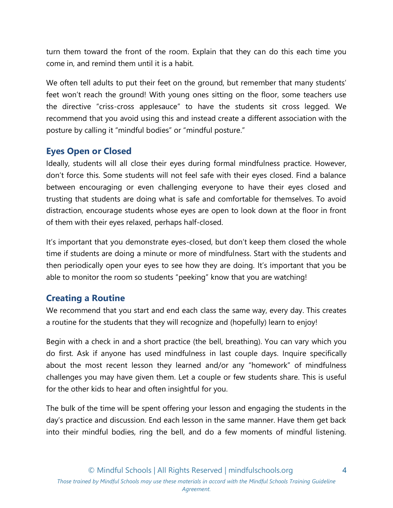turn them toward the front of the room. Explain that they can do this each time you come in, and remind them until it is a habit.

We often tell adults to put their feet on the ground, but remember that many students' feet won't reach the ground! With young ones sitting on the floor, some teachers use the directive "criss-cross applesauce" to have the students sit cross legged. We recommend that you avoid using this and instead create a different association with the posture by calling it "mindful bodies" or "mindful posture."

# <span id="page-4-0"></span>**Eyes Open or Closed**

Ideally, students will all close their eyes during formal mindfulness practice. However, don't force this. Some students will not feel safe with their eyes closed. Find a balance between encouraging or even challenging everyone to have their eyes closed and trusting that students are doing what is safe and comfortable for themselves. To avoid distraction, encourage students whose eyes are open to look down at the floor in front of them with their eyes relaxed, perhaps half-closed.

It's important that you demonstrate eyes-closed, but don't keep them closed the whole time if students are doing a minute or more of mindfulness. Start with the students and then periodically open your eyes to see how they are doing. It's important that you be able to monitor the room so students "peeking" know that you are watching!

# <span id="page-4-1"></span>**Creating a Routine**

We recommend that you start and end each class the same way, every day. This creates a routine for the students that they will recognize and (hopefully) learn to enjoy!

Begin with a check in and a short practice (the bell, breathing). You can vary which you do first. Ask if anyone has used mindfulness in last couple days. Inquire specifically about the most recent lesson they learned and/or any "homework" of mindfulness challenges you may have given them. Let a couple or few students share. This is useful for the other kids to hear and often insightful for you.

The bulk of the time will be spent offering your lesson and engaging the students in the day's practice and discussion. End each lesson in the same manner. Have them get back into their mindful bodies, ring the bell, and do a few moments of mindful listening.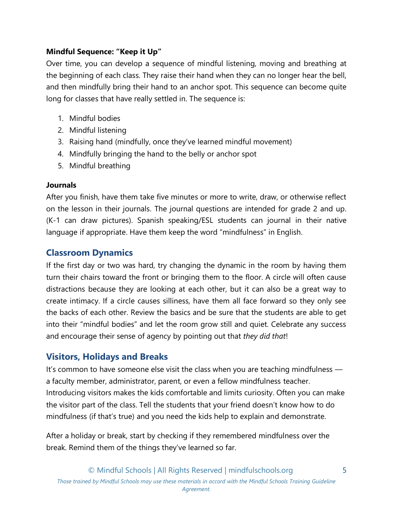# **Mindful Sequence: "Keep it Up"**

Over time, you can develop a sequence of mindful listening, moving and breathing at the beginning of each class. They raise their hand when they can no longer hear the bell, and then mindfully bring their hand to an anchor spot. This sequence can become quite long for classes that have really settled in. The sequence is:

- 1. Mindful bodies
- 2. Mindful listening
- 3. Raising hand (mindfully, once they've learned mindful movement)
- 4. Mindfully bringing the hand to the belly or anchor spot
- 5. Mindful breathing

## **Journals**

After you finish, have them take five minutes or more to write, draw, or otherwise reflect on the lesson in their journals. The journal questions are intended for grade 2 and up. (K-1 can draw pictures). Spanish speaking/ESL students can journal in their native language if appropriate. Have them keep the word "mindfulness" in English.

# <span id="page-5-0"></span>**Classroom Dynamics**

If the first day or two was hard, try changing the dynamic in the room by having them turn their chairs toward the front or bringing them to the floor. A circle will often cause distractions because they are looking at each other, but it can also be a great way to create intimacy. If a circle causes silliness, have them all face forward so they only see the backs of each other. Review the basics and be sure that the students are able to get into their "mindful bodies" and let the room grow still and quiet. Celebrate any success and encourage their sense of agency by pointing out that *they did that*!

# <span id="page-5-1"></span>**Visitors, Holidays and Breaks**

It's common to have someone else visit the class when you are teaching mindfulness a faculty member, administrator, parent, or even a fellow mindfulness teacher. Introducing visitors makes the kids comfortable and limits curiosity. Often you can make the visitor part of the class. Tell the students that your friend doesn't know how to do mindfulness (if that's true) and you need the kids help to explain and demonstrate.

After a holiday or break, start by checking if they remembered mindfulness over the break. Remind them of the things they've learned so far.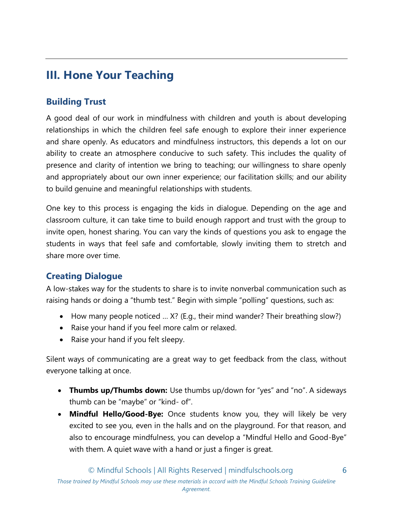# <span id="page-6-0"></span>**III. Hone Your Teaching**

# <span id="page-6-1"></span>**Building Trust**

A good deal of our work in mindfulness with children and youth is about developing relationships in which the children feel safe enough to explore their inner experience and share openly. As educators and mindfulness instructors, this depends a lot on our ability to create an atmosphere conducive to such safety. This includes the quality of presence and clarity of intention we bring to teaching; our willingness to share openly and appropriately about our own inner experience; our facilitation skills; and our ability to build genuine and meaningful relationships with students.

One key to this process is engaging the kids in dialogue. Depending on the age and classroom culture, it can take time to build enough rapport and trust with the group to invite open, honest sharing. You can vary the kinds of questions you ask to engage the students in ways that feel safe and comfortable, slowly inviting them to stretch and share more over time.

# <span id="page-6-2"></span>**Creating Dialogue**

A low-stakes way for the students to share is to invite nonverbal communication such as raising hands or doing a "thumb test." Begin with simple "polling" questions, such as:

- How many people noticed ... X? (E.g., their mind wander? Their breathing slow?)
- Raise your hand if you feel more calm or relaxed.
- Raise your hand if you felt sleepy.

Silent ways of communicating are a great way to get feedback from the class, without everyone talking at once.

- **Thumbs up/Thumbs down:** Use thumbs up/down for "yes" and "no". A sideways thumb can be "maybe" or "kind- of".
- **Mindful Hello/Good-Bye:** Once students know you, they will likely be very excited to see you, even in the halls and on the playground. For that reason, and also to encourage mindfulness, you can develop a "Mindful Hello and Good-Bye" with them. A quiet wave with a hand or just a finger is great.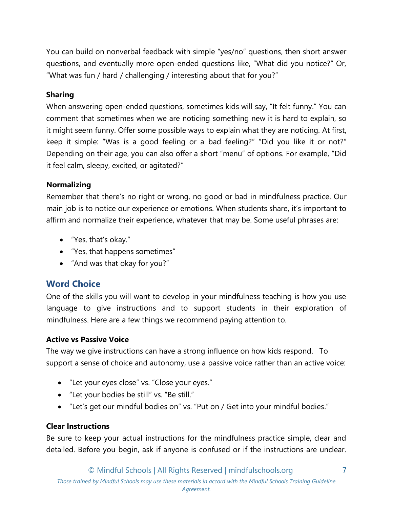You can build on nonverbal feedback with simple "yes/no" questions, then short answer questions, and eventually more open-ended questions like, "What did you notice?" Or, "What was fun / hard / challenging / interesting about that for you?"

# **Sharing**

When answering open-ended questions, sometimes kids will say, "It felt funny." You can comment that sometimes when we are noticing something new it is hard to explain, so it might seem funny. Offer some possible ways to explain what they are noticing. At first, keep it simple: "Was is a good feeling or a bad feeling?" "Did you like it or not?" Depending on their age, you can also offer a short "menu" of options. For example, "Did it feel calm, sleepy, excited, or agitated?"

#### **Normalizing**

Remember that there's no right or wrong, no good or bad in mindfulness practice. Our main job is to notice our experience or emotions. When students share, it's important to affirm and normalize their experience, whatever that may be. Some useful phrases are:

- "Yes, that's okay."
- "Yes, that happens sometimes"
- "And was that okay for you?"

# <span id="page-7-0"></span>**Word Choice**

One of the skills you will want to develop in your mindfulness teaching is how you use language to give instructions and to support students in their exploration of mindfulness. Here are a few things we recommend paying attention to.

## **Active vs Passive Voice**

The way we give instructions can have a strong influence on how kids respond. To support a sense of choice and autonomy, use a passive voice rather than an active voice:

- "Let your eyes close" vs. "Close your eyes."
- "Let your bodies be still" vs. "Be still."
- "Let's get our mindful bodies on" vs. "Put on / Get into your mindful bodies."

## **Clear Instructions**

Be sure to keep your actual instructions for the mindfulness practice simple, clear and detailed. Before you begin, ask if anyone is confused or if the instructions are unclear.

7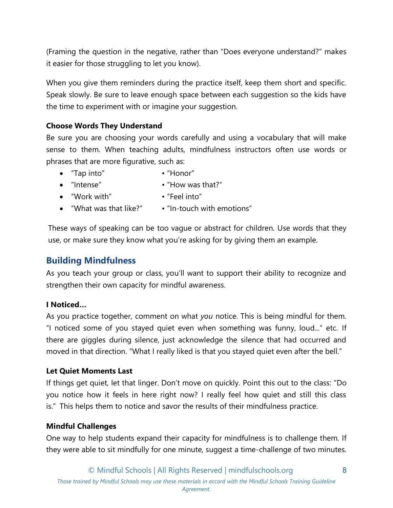(Framing the question in the negative, rather than "Does everyone understand?" makes it easier for those struggling to let you know).

When you give them reminders during the practice itself, keep them short and specific. Speak slowly. Be sure to leave enough space between each suggestion so the kids have the time to experiment with or imagine your suggestion.

#### **Choose Words They Understand**

Be sure you are choosing your words carefully and using a vocabulary that will make sense to them. When teaching adults, mindfulness instructors often use words or phrases that are more figurative, such as:

- "Tap into" "Honor"
- "Intense" "How was that?"
- "Work with" "Feel into"
- "What was that like?" "In-touch with emotions"

These ways of speaking can be too vague or abstract for children. Use words that they use, or make sure they know what you're asking for by giving them an example.

# <span id="page-8-0"></span>**Building Mindfulness**

As you teach your group or class, you'll want to support their ability to recognize and strengthen their own capacity for mindful awareness.

#### **I Noticed…**

As you practice together, comment on what *you* notice. This is being mindful for them. "I noticed some of you stayed quiet even when something was funny, loud..." etc. If there are giggles during silence, just acknowledge the silence that had occurred and moved in that direction. "What I really liked is that you stayed quiet even after the bell."

#### **Let Quiet Moments Last**

If things get quiet, let that linger. Don't move on quickly. Point this out to the class: "Do you notice how it feels in here right now? I really feel how quiet and still this class is." This helps them to notice and savor the results of their mindfulness practice.

#### **Mindful Challenges**

One way to help students expand their capacity for mindfulness is to challenge them. If they were able to sit mindfully for one minute, suggest a time-challenge of two minutes.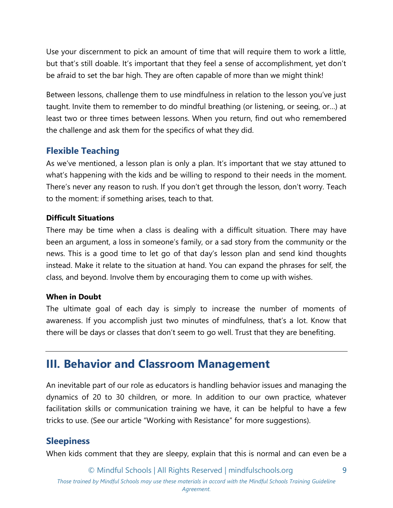Use your discernment to pick an amount of time that will require them to work a little, but that's still doable. It's important that they feel a sense of accomplishment, yet don't be afraid to set the bar high. They are often capable of more than we might think!

Between lessons, challenge them to use mindfulness in relation to the lesson you've just taught. Invite them to remember to do mindful breathing (or listening, or seeing, or…) at least two or three times between lessons. When you return, find out who remembered the challenge and ask them for the specifics of what they did.

# <span id="page-9-0"></span>**Flexible Teaching**

As we've mentioned, a lesson plan is only a plan. It's important that we stay attuned to what's happening with the kids and be willing to respond to their needs in the moment. There's never any reason to rush. If you don't get through the lesson, don't worry. Teach to the moment: if something arises, teach to that.

#### **Difficult Situations**

There may be time when a class is dealing with a difficult situation. There may have been an argument, a loss in someone's family, or a sad story from the community or the news. This is a good time to let go of that day's lesson plan and send kind thoughts instead. Make it relate to the situation at hand. You can expand the phrases for self, the class, and beyond. Involve them by encouraging them to come up with wishes.

#### **When in Doubt**

The ultimate goal of each day is simply to increase the number of moments of awareness. If you accomplish just two minutes of mindfulness, that's a lot. Know that there will be days or classes that don't seem to go well. Trust that they are benefiting.

# <span id="page-9-1"></span>**III. Behavior and Classroom Management**

An inevitable part of our role as educators is handling behavior issues and managing the dynamics of 20 to 30 children, or more. In addition to our own practice, whatever facilitation skills or communication training we have, it can be helpful to have a few tricks to use. (See our article "Working with Resistance" for more suggestions).

# <span id="page-9-2"></span>**Sleepiness**

When kids comment that they are sleepy, explain that this is normal and can even be a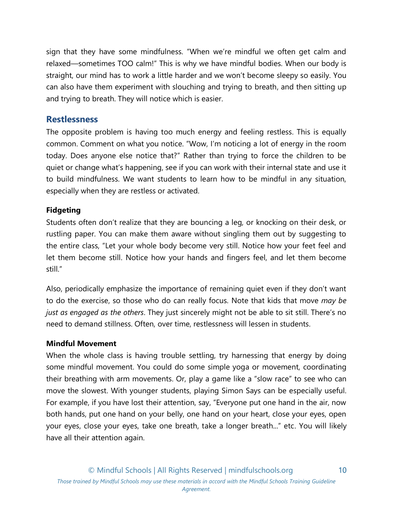sign that they have some mindfulness. "When we're mindful we often get calm and relaxed—sometimes TOO calm!" This is why we have mindful bodies. When our body is straight, our mind has to work a little harder and we won't become sleepy so easily. You can also have them experiment with slouching and trying to breath, and then sitting up and trying to breath. They will notice which is easier.

## <span id="page-10-0"></span>**Restlessness**

The opposite problem is having too much energy and feeling restless. This is equally common. Comment on what you notice. "Wow, I'm noticing a lot of energy in the room today. Does anyone else notice that?" Rather than trying to force the children to be quiet or change what's happening, see if you can work with their internal state and use it to build mindfulness. We want students to learn how to be mindful in any situation, especially when they are restless or activated.

#### **Fidgeting**

Students often don't realize that they are bouncing a leg, or knocking on their desk, or rustling paper. You can make them aware without singling them out by suggesting to the entire class, "Let your whole body become very still. Notice how your feet feel and let them become still. Notice how your hands and fingers feel, and let them become still."

Also, periodically emphasize the importance of remaining quiet even if they don't want to do the exercise, so those who do can really focus. Note that kids that move *may be just as engaged as the others*. They just sincerely might not be able to sit still. There's no need to demand stillness. Often, over time, restlessness will lessen in students.

#### **Mindful Movement**

When the whole class is having trouble settling, try harnessing that energy by doing some mindful movement. You could do some simple yoga or movement, coordinating their breathing with arm movements. Or, play a game like a "slow race" to see who can move the slowest. With younger students, playing Simon Says can be especially useful. For example, if you have lost their attention, say, "Everyone put one hand in the air, now both hands, put one hand on your belly, one hand on your heart, close your eyes, open your eyes, close your eyes, take one breath, take a longer breath..." etc. You will likely have all their attention again.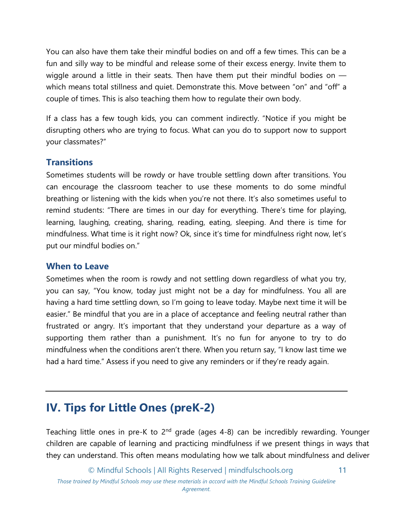You can also have them take their mindful bodies on and off a few times. This can be a fun and silly way to be mindful and release some of their excess energy. Invite them to wiggle around a little in their seats. Then have them put their mindful bodies on  $$ which means total stillness and quiet. Demonstrate this. Move between "on" and "off" a couple of times. This is also teaching them how to regulate their own body.

If a class has a few tough kids, you can comment indirectly. "Notice if you might be disrupting others who are trying to focus. What can you do to support now to support your classmates?"

# <span id="page-11-0"></span>**Transitions**

Sometimes students will be rowdy or have trouble settling down after transitions. You can encourage the classroom teacher to use these moments to do some mindful breathing or listening with the kids when you're not there. It's also sometimes useful to remind students: "There are times in our day for everything. There's time for playing, learning, laughing, creating, sharing, reading, eating, sleeping. And there is time for mindfulness. What time is it right now? Ok, since it's time for mindfulness right now, let's put our mindful bodies on."

## <span id="page-11-1"></span>**When to Leave**

Sometimes when the room is rowdy and not settling down regardless of what you try, you can say, "You know, today just might not be a day for mindfulness. You all are having a hard time settling down, so I'm going to leave today. Maybe next time it will be easier." Be mindful that you are in a place of acceptance and feeling neutral rather than frustrated or angry. It's important that they understand your departure as a way of supporting them rather than a punishment. It's no fun for anyone to try to do mindfulness when the conditions aren't there. When you return say, "I know last time we had a hard time." Assess if you need to give any reminders or if they're ready again.

# <span id="page-11-2"></span>**IV. Tips for Little Ones (preK-2)**

Teaching little ones in pre-K to  $2<sup>nd</sup>$  grade (ages 4-8) can be incredibly rewarding. Younger children are capable of learning and practicing mindfulness if we present things in ways that they can understand. This often means modulating how we talk about mindfulness and deliver

© Mindful Schools | All Rights Reserved | mindfulschools.org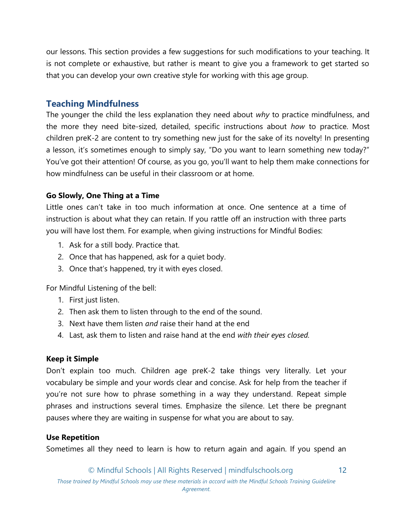our lessons. This section provides a few suggestions for such modifications to your teaching. It is not complete or exhaustive, but rather is meant to give you a framework to get started so that you can develop your own creative style for working with this age group.

## <span id="page-12-0"></span>**Teaching Mindfulness**

The younger the child the less explanation they need about *why* to practice mindfulness, and the more they need bite-sized, detailed, specific instructions about *how* to practice. Most children preK-2 are content to try something new just for the sake of its novelty! In presenting a lesson, it's sometimes enough to simply say, "Do you want to learn something new today?" You've got their attention! Of course, as you go, you'll want to help them make connections for how mindfulness can be useful in their classroom or at home.

#### **Go Slowly, One Thing at a Time**

Little ones can't take in too much information at once. One sentence at a time of instruction is about what they can retain. If you rattle off an instruction with three parts you will have lost them. For example, when giving instructions for Mindful Bodies:

- 1. Ask for a still body. Practice that.
- 2. Once that has happened, ask for a quiet body.
- 3. Once that's happened, try it with eyes closed.

For Mindful Listening of the bell:

- 1. First just listen.
- 2. Then ask them to listen through to the end of the sound.
- 3. Next have them listen *and* raise their hand at the end
- 4. Last, ask them to listen and raise hand at the end *with their eyes closed.*

#### **Keep it Simple**

Don't explain too much. Children age preK-2 take things very literally. Let your vocabulary be simple and your words clear and concise. Ask for help from the teacher if you're not sure how to phrase something in a way they understand. Repeat simple phrases and instructions several times. Emphasize the silence. Let there be pregnant pauses where they are waiting in suspense for what you are about to say.

#### **Use Repetition**

Sometimes all they need to learn is how to return again and again. If you spend an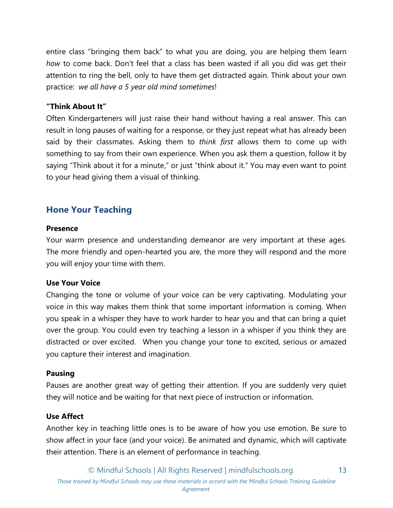entire class "bringing them back" to what you are doing, you are helping them learn *how* to come back. Don't feel that a class has been wasted if all you did was get their attention to ring the bell, only to have them get distracted again. Think about your own practice: *we all have a 5 year old mind sometimes*!

#### **"Think About It"**

Often Kindergarteners will just raise their hand without having a real answer. This can result in long pauses of waiting for a response, or they just repeat what has already been said by their classmates. Asking them to *think first* allows them to come up with something to say from their own experience. When you ask them a question, follow it by saying "Think about it for a minute," or just "think about it." You may even want to point to your head giving them a visual of thinking.

# <span id="page-13-0"></span>**Hone Your Teaching**

#### **Presence**

Your warm presence and understanding demeanor are very important at these ages. The more friendly and open-hearted you are, the more they will respond and the more you will enjoy your time with them.

#### **Use Your Voice**

Changing the tone or volume of your voice can be very captivating. Modulating your voice in this way makes them think that some important information is coming. When you speak in a whisper they have to work harder to hear you and that can bring a quiet over the group. You could even try teaching a lesson in a whisper if you think they are distracted or over excited. When you change your tone to excited, serious or amazed you capture their interest and imagination.

#### **Pausing**

Pauses are another great way of getting their attention. If you are suddenly very quiet they will notice and be waiting for that next piece of instruction or information.

#### **Use Affect**

Another key in teaching little ones is to be aware of how you use emotion. Be sure to show affect in your face (and your voice). Be animated and dynamic, which will captivate their attention. There is an element of performance in teaching.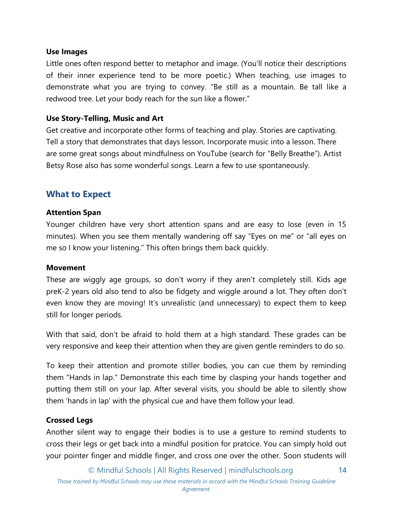#### **Use Images**

Little ones often respond better to metaphor and image. (You'll notice their descriptions of their inner experience tend to be more poetic.) When teaching, use images to demonstrate what you are trying to convey. "Be still as a mountain. Be tall like a redwood tree. Let your body reach for the sun like a flower."

#### **Use Story-Telling, Music and Art**

Get creative and incorporate other forms of teaching and play. Stories are captivating. Tell a story that demonstrates that days lesson. Incorporate music into a lesson. There are some great songs about mindfulness on YouTube (search for "Belly Breathe"). Artist Betsy Rose also has some wonderful songs. Learn a few to use spontaneously.

# <span id="page-14-0"></span>**What to Expect**

#### **Attention Span**

Younger children have very short attention spans and are easy to lose (even in 15 minutes). When you see them mentally wandering off say "Eyes on me" or "all eyes on me so I know your listening." This often brings them back quickly.

#### **Movement**

These are wiggly age groups, so don't worry if they aren't completely still. Kids age preK-2 years old also tend to also be fidgety and wiggle around a lot. They often don't even know they are moving! It's unrealistic (and unnecessary) to expect them to keep still for longer periods.

With that said, don't be afraid to hold them at a high standard. These grades can be very responsive and keep their attention when they are given gentle reminders to do so.

To keep their attention and promote stiller bodies, you can cue them by reminding them "Hands in lap." Demonstrate this each time by clasping your hands together and putting them still on your lap. After several visits, you should be able to silently show them 'hands in lap' with the physical cue and have them follow your lead.

#### **Crossed Legs**

Another silent way to engage their bodies is to use a gesture to remind students to cross their legs or get back into a mindful position for pratcice. You can simply hold out your pointer finger and middle finger, and cross one over the other. Soon students will

© Mindful Schools | All Rights Reserved | mindfulschools.org